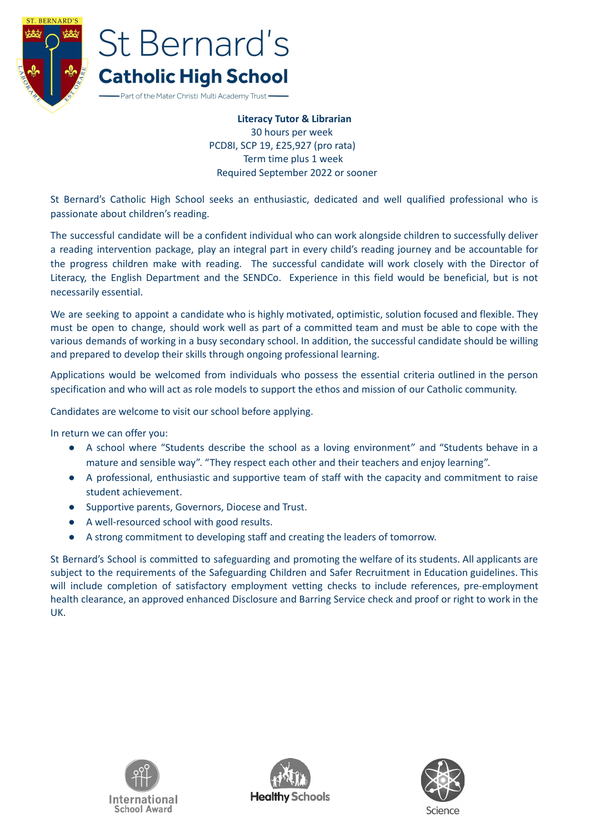

## St Bernard's **Catholic High School**

Part of the Mater Christi Multi Academy Trust-

**Literacy Tutor & Librarian** 30 hours per week PCD8I, SCP 19, £25,927 (pro rata) Term time plus 1 week Required September 2022 or sooner

St Bernard's Catholic High School seeks an enthusiastic, dedicated and well qualified professional who is passionate about children's reading.

The successful candidate will be a confident individual who can work alongside children to successfully deliver a reading intervention package, play an integral part in every child's reading journey and be accountable for the progress children make with reading. The successful candidate will work closely with the Director of Literacy, the English Department and the SENDCo. Experience in this field would be beneficial, but is not necessarily essential.

We are seeking to appoint a candidate who is highly motivated, optimistic, solution focused and flexible. They must be open to change, should work well as part of a committed team and must be able to cope with the various demands of working in a busy secondary school. In addition, the successful candidate should be willing and prepared to develop their skills through ongoing professional learning.

Applications would be welcomed from individuals who possess the essential criteria outlined in the person specification and who will act as role models to support the ethos and mission of our Catholic community.

Candidates are welcome to visit our school before applying.

In return we can offer you:

- A school where "Students describe the school as a loving environment" and "Students behave in a mature and sensible way". "They respect each other and their teachers and enjoy learning".
- A professional, enthusiastic and supportive team of staff with the capacity and commitment to raise student achievement.
- Supportive parents, Governors, Diocese and Trust.
- A well-resourced school with good results.
- A strong commitment to developing staff and creating the leaders of tomorrow.

St Bernard's School is committed to safeguarding and promoting the welfare of its students. All applicants are subject to the requirements of the Safeguarding Children and Safer Recruitment in Education guidelines. This will include completion of satisfactory employment vetting checks to include references, pre-employment health clearance, an approved enhanced Disclosure and Barring Service check and proof or right to work in the UK.